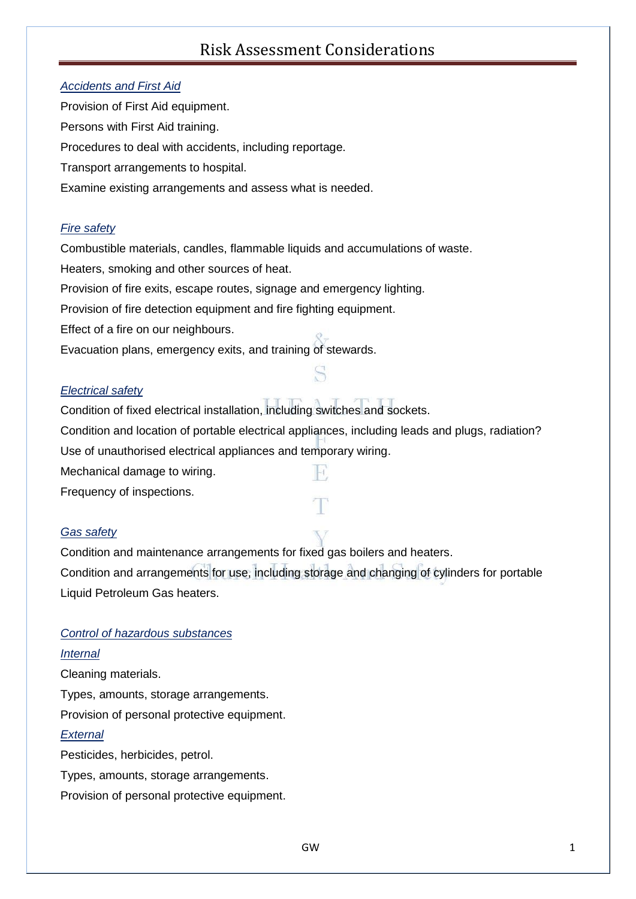#### *Accidents and First Aid*

Provision of First Aid equipment. Persons with First Aid training. Procedures to deal with accidents, including reportage. Transport arrangements to hospital. Examine existing arrangements and assess what is needed.

#### *Fire safety*

Combustible materials, candles, flammable liquids and accumulations of waste.

Heaters, smoking and other sources of heat.

Provision of fire exits, escape routes, signage and emergency lighting.

Provision of fire detection equipment and fire fighting equipment.

Effect of a fire on our neighbours.

Evacuation plans, emergency exits, and training of stewards.

#### *Electrical safety*

Condition of fixed electrical installation, including switches and sockets. Condition and location of portable electrical appliances, including leads and plugs, radiation? Use of unauthorised electrical appliances and temporary wiring. Mechanical damage to wiring. Frequency of inspections.

*Gas safety*

Condition and maintenance arrangements for fixed gas boilers and heaters. Condition and arrangements for use, including storage and changing of cylinders for portable Liquid Petroleum Gas heaters.

#### *Control of hazardous substances*

#### *Internal*

Cleaning materials.

Types, amounts, storage arrangements.

Provision of personal protective equipment.

#### *External*

Pesticides, herbicides, petrol.

Types, amounts, storage arrangements.

Provision of personal protective equipment.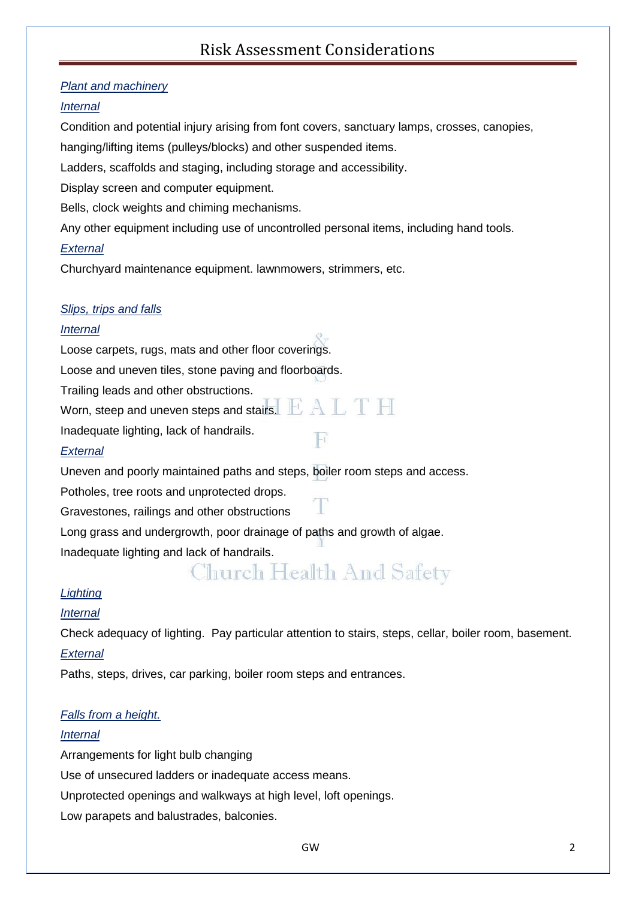#### *Plant and machinery*

#### *Internal*

Condition and potential injury arising from font covers, sanctuary lamps, crosses, canopies, hanging/lifting items (pulleys/blocks) and other suspended items.

Ladders, scaffolds and staging, including storage and accessibility.

Display screen and computer equipment.

Bells, clock weights and chiming mechanisms.

Any other equipment including use of uncontrolled personal items, including hand tools.

#### *External*

Churchyard maintenance equipment. lawnmowers, strimmers, etc.

#### *Slips, trips and falls*

#### *Internal*

Loose carpets, rugs, mats and other floor coverings.

Loose and uneven tiles, stone paving and floorboards.

Trailing leads and other obstructions.

Worn, steep and uneven steps and stairs.  $\mathbb{E}\text{A}\mathbb{L}\textcolor{red}{\mathbb{T}}\textcolor{red}{\mathbb{H}}$ 

Inadequate lighting, lack of handrails.

#### *External*

Uneven and poorly maintained paths and steps, boiler room steps and access.

Potholes, tree roots and unprotected drops.

Gravestones, railings and other obstructions

Long grass and undergrowth, poor drainage of paths and growth of algae.

Inadequate lighting and lack of handrails.

# Church Health And Safety

#### *Lighting*

#### *Internal*

Check adequacy of lighting. Pay particular attention to stairs, steps, cellar, boiler room, basement. *External*

Paths, steps, drives, car parking, boiler room steps and entrances.

#### *Falls from a height.*

#### *Internal*

Arrangements for light bulb changing

Use of unsecured ladders or inadequate access means.

Unprotected openings and walkways at high level, loft openings.

Low parapets and balustrades, balconies.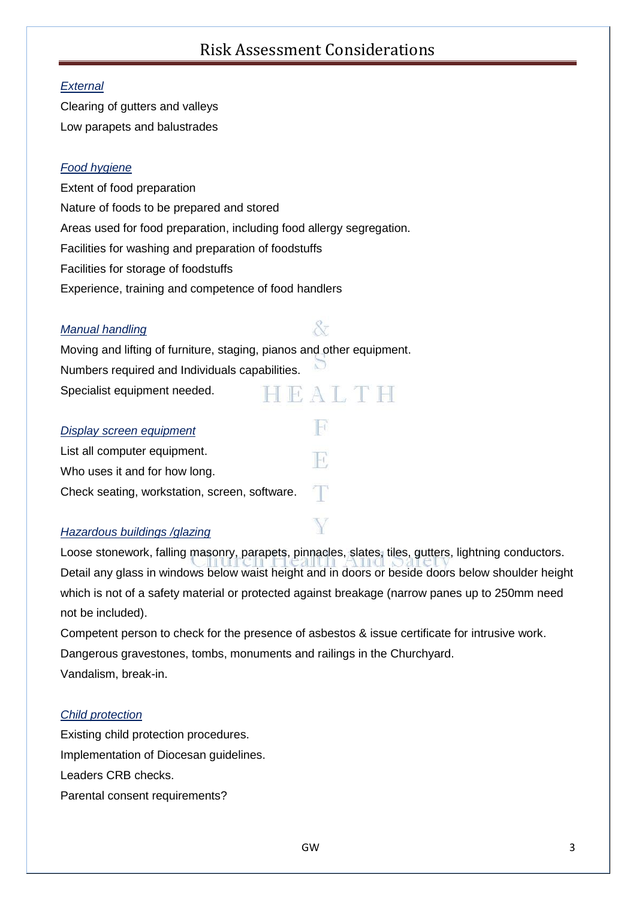#### *External*

Clearing of gutters and valleys Low parapets and balustrades

#### *Food hygiene*

Extent of food preparation Nature of foods to be prepared and stored Areas used for food preparation, including food allergy segregation. Facilities for washing and preparation of foodstuffs Facilities for storage of foodstuffs Experience, training and competence of food handlers

#### *Manual handling*

## 87

Ħ

Moving and lifting of furniture, staging, pianos and other equipment. Numbers required and Individuals capabilities. Specialist equipment needed. HEALTH

#### *Display screen equipment*

List all computer equipment. Ħ, Who uses it and for how long. Check seating, workstation, screen, software.

#### *Hazardous buildings /glazing*

Loose stonework, falling masonry, parapets, pinnacles, slates, tiles, gutters, lightning conductors. Detail any glass in windows below waist height and in doors or beside doors below shoulder height which is not of a safety material or protected against breakage (narrow panes up to 250mm need not be included).

Competent person to check for the presence of asbestos & issue certificate for intrusive work. Dangerous gravestones, tombs, monuments and railings in the Churchyard. Vandalism, break-in.

#### *Child protection*

Existing child protection procedures. Implementation of Diocesan guidelines. Leaders CRB checks. Parental consent requirements?